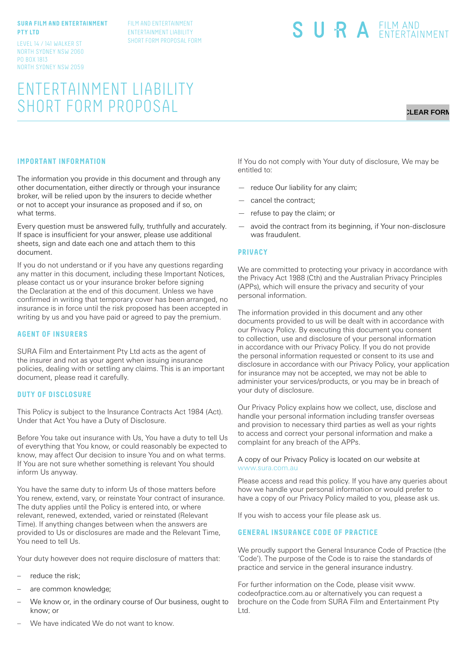#### **SURA FILM AND ENTERTAINMENT PTY LTD**

LEVEL 14 / 141 WALKER ST NORTH SYDNEY NSW 2060 PO BOX 1813 NORTH SYDNEY NSW 2059

ENTERTAINMENT LIABILITY SHORT FORM PROPOSAL

FILM AND ENTERTAINMENT ENTERTAINMENT LIABILITY SHORT FORM PROPOSAL FORM

# SURA EILM AND

# **CLEAR FORM**

# **IMPORTANT INFORMATION**

The information you provide in this document and through any other documentation, either directly or through your insurance broker, will be relied upon by the insurers to decide whether or not to accept your insurance as proposed and if so, on what terms.

Every question must be answered fully, truthfully and accurately. If space is insufficient for your answer, please use additional sheets, sign and date each one and attach them to this document.

If you do not understand or if you have any questions regarding any matter in this document, including these Important Notices, please contact us or your insurance broker before signing the Declaration at the end of this document. Unless we have confirmed in writing that temporary cover has been arranged, no insurance is in force until the risk proposed has been accepted in writing by us and you have paid or agreed to pay the premium.

#### **AGENT OF INSURERS**

SURA Film and Entertainment Pty Ltd acts as the agent of the insurer and not as your agent when issuing insurance policies, dealing with or settling any claims. This is an important document, please read it carefully.

#### **DUTY OF DISCLOSURE**

This Policy is subject to the Insurance Contracts Act 1984 (Act). Under that Act You have a Duty of Disclosure.

Before You take out insurance with Us, You have a duty to tell Us of everything that You know, or could reasonably be expected to know, may affect Our decision to insure You and on what terms. If You are not sure whether something is relevant You should inform Us anyway.

You have the same duty to inform Us of those matters before You renew, extend, vary, or reinstate Your contract of insurance. The duty applies until the Policy is entered into, or where relevant, renewed, extended, varied or reinstated (Relevant Time). If anything changes between when the answers are provided to Us or disclosures are made and the Relevant Time, You need to tell Us.

Your duty however does not require disclosure of matters that:

- reduce the risk;
- are common knowledge;
- We know or, in the ordinary course of Our business, ought to know; or

If You do not comply with Your duty of disclosure, We may be entitled to:

- reduce Our liability for any claim;
- cancel the contract;
- refuse to pay the claim; or
- avoid the contract from its beginning, if Your non-disclosure was fraudulent.

#### **PRIVACY**

We are committed to protecting your privacy in accordance with the Privacy Act 1988 (Cth) and the Australian Privacy Principles (APPs), which will ensure the privacy and security of your personal information.

The information provided in this document and any other documents provided to us will be dealt with in accordance with our Privacy Policy. By executing this document you consent to collection, use and disclosure of your personal information in accordance with our Privacy Policy. If you do not provide the personal information requested or consent to its use and disclosure in accordance with our Privacy Policy, your application for insurance may not be accepted, we may not be able to administer your services/products, or you may be in breach of your duty of disclosure.

Our Privacy Policy explains how we collect, use, disclose and handle your personal information including transfer overseas and provision to necessary third parties as well as your rights to access and correct your personal information and make a complaint for any breach of the APPs.

#### A copy of our Privacy Policy is located on our website at www.sura.com.au

Please access and read this policy. If you have any queries about how we handle your personal information or would prefer to have a copy of our Privacy Policy mailed to you, please ask us.

If you wish to access your file please ask us.

### **GENERAL INSURANCE CODE OF PRACTICE**

We proudly support the General Insurance Code of Practice (the 'Code'). The purpose of the Code is to raise the standards of practice and service in the general insurance industry.

For further information on the Code, please visit www. codeofpractice.com.au or alternatively you can request a brochure on the Code from SURA Film and Entertainment Pty Ltd.

We have indicated We do not want to know.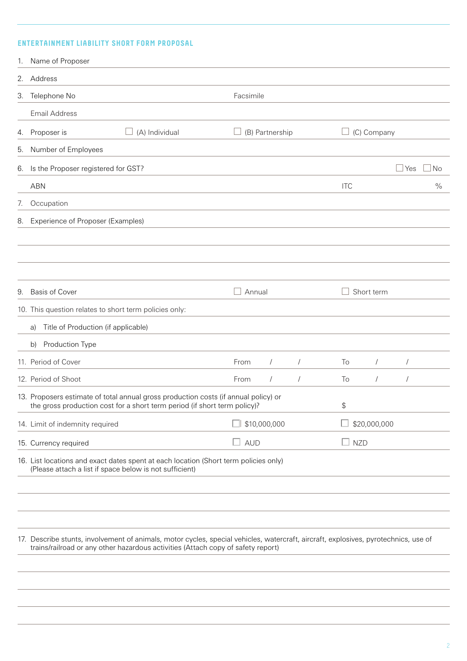# **ENTERTAINMENT LIABILITY SHORT FORM PROPOSAL**

| 1. | Name of Proposer                                                                                                                                                                                                        |            |                 |            |              |             |            |      |
|----|-------------------------------------------------------------------------------------------------------------------------------------------------------------------------------------------------------------------------|------------|-----------------|------------|--------------|-------------|------------|------|
|    | 2. Address                                                                                                                                                                                                              |            |                 |            |              |             |            |      |
|    | 3. Telephone No                                                                                                                                                                                                         | Facsimile  |                 |            |              |             |            |      |
|    | <b>Email Address</b>                                                                                                                                                                                                    |            |                 |            |              |             |            |      |
|    | (A) Individual<br>4. Proposer is                                                                                                                                                                                        |            | (B) Partnership |            |              | (C) Company |            |      |
| 5. | Number of Employees                                                                                                                                                                                                     |            |                 |            |              |             |            |      |
|    | 6. Is the Proposer registered for GST?                                                                                                                                                                                  |            |                 |            |              |             | Yes        | No   |
|    | <b>ABN</b>                                                                                                                                                                                                              |            |                 |            | <b>ITC</b>   |             |            | $\%$ |
| 7. | Occupation                                                                                                                                                                                                              |            |                 |            |              |             |            |      |
|    | 8. Experience of Proposer (Examples)                                                                                                                                                                                    |            |                 |            |              |             |            |      |
|    |                                                                                                                                                                                                                         |            |                 |            |              |             |            |      |
|    |                                                                                                                                                                                                                         |            |                 |            |              |             |            |      |
|    |                                                                                                                                                                                                                         |            |                 |            |              |             |            |      |
| 9. | <b>Basis of Cover</b>                                                                                                                                                                                                   | Annual     |                 |            |              | Short term  |            |      |
|    | 10. This question relates to short term policies only:                                                                                                                                                                  |            |                 |            |              |             |            |      |
|    | Title of Production (if applicable)<br>a)                                                                                                                                                                               |            |                 |            |              |             |            |      |
|    | Production Type<br>b)                                                                                                                                                                                                   |            |                 |            |              |             |            |      |
|    | 11. Period of Cover                                                                                                                                                                                                     | From       | $\sqrt{2}$      | $\sqrt{2}$ | To           | $\sqrt{2}$  | $\sqrt{2}$ |      |
|    | 12. Period of Shoot                                                                                                                                                                                                     | From       | $\sqrt{2}$      | $\sqrt{2}$ | To           | $\sqrt{2}$  | $\sqrt{2}$ |      |
|    | 13. Proposers estimate of total annual gross production costs (if annual policy) or<br>the gross production cost for a short term period (if short term policy)?                                                        |            |                 |            | \$           |             |            |      |
|    | 14. Limit of indemnity required                                                                                                                                                                                         |            | \$10,000,000    |            | \$20,000,000 |             |            |      |
|    | 15. Currency required                                                                                                                                                                                                   | $\Box$ aud |                 |            | $\Box$ NZD   |             |            |      |
|    | 16. List locations and exact dates spent at each location (Short term policies only)<br>(Please attach a list if space below is not sufficient)                                                                         |            |                 |            |              |             |            |      |
|    |                                                                                                                                                                                                                         |            |                 |            |              |             |            |      |
|    |                                                                                                                                                                                                                         |            |                 |            |              |             |            |      |
|    | 17. Describe stunts, involvement of animals, motor cycles, special vehicles, watercraft, aircraft, explosives, pyrotechnics, use of<br>trains/railroad or any other hazardous activities (Attach copy of safety report) |            |                 |            |              |             |            |      |
|    |                                                                                                                                                                                                                         |            |                 |            |              |             |            |      |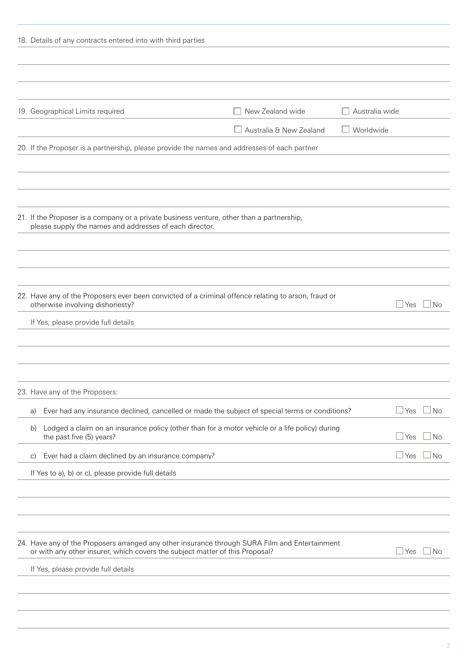| 18. Details of any contracts entered into with third parties |                                                                                                                                                      |                                                                                                     |                  |      |      |
|--------------------------------------------------------------|------------------------------------------------------------------------------------------------------------------------------------------------------|-----------------------------------------------------------------------------------------------------|------------------|------|------|
|                                                              |                                                                                                                                                      |                                                                                                     |                  |      |      |
| 19. Geographical Limits required                             |                                                                                                                                                      | New Zealand wide                                                                                    | Australia wide   |      |      |
|                                                              |                                                                                                                                                      | $\Box$ Australia & New Zealand                                                                      | $\Box$ Worldwide |      |      |
|                                                              | 20. If the Proposer is a partnership, please provide the names and addresses of each partner                                                         |                                                                                                     |                  |      |      |
|                                                              |                                                                                                                                                      |                                                                                                     |                  |      |      |
|                                                              |                                                                                                                                                      |                                                                                                     |                  |      |      |
|                                                              |                                                                                                                                                      |                                                                                                     |                  |      |      |
|                                                              | 21. If the Proposer is a company or a private business venture, other than a partnership,<br>please supply the names and addresses of each director. |                                                                                                     |                  |      |      |
|                                                              |                                                                                                                                                      |                                                                                                     |                  |      |      |
|                                                              |                                                                                                                                                      |                                                                                                     |                  |      |      |
|                                                              |                                                                                                                                                      |                                                                                                     |                  |      |      |
| otherwise involving dishonesty?                              |                                                                                                                                                      | 22. Have any of the Proposers ever been convicted of a criminal offence relating to arson, fraud or |                  | ⊥Yes | l No |
| If Yes, please provide full details                          |                                                                                                                                                      |                                                                                                     |                  |      |      |
|                                                              |                                                                                                                                                      |                                                                                                     |                  |      |      |
|                                                              |                                                                                                                                                      |                                                                                                     |                  |      |      |
| 23. Have any of the Proposers:                               |                                                                                                                                                      |                                                                                                     |                  |      |      |
| a)                                                           |                                                                                                                                                      | Ever had any insurance declined, cancelled or made the subject of special terms or conditions?      |                  | Yes  | No   |
| b)<br>the past five (5) years?                               |                                                                                                                                                      | Lodged a claim on an insurance policy (other than for a motor vehicle or a life policy) during      |                  | Yes  | ⊿ No |
| $\vert$ C)                                                   | Ever had a claim declined by an insurance company?                                                                                                   |                                                                                                     |                  | ⊥Yes | ⊿No  |
| If Yes to a), b) or c), please provide full details          |                                                                                                                                                      |                                                                                                     |                  |      |      |
|                                                              |                                                                                                                                                      |                                                                                                     |                  |      |      |
|                                                              |                                                                                                                                                      |                                                                                                     |                  |      |      |
|                                                              |                                                                                                                                                      |                                                                                                     |                  |      |      |
|                                                              | or with any other insurer, which covers the subject matter of this Proposal?                                                                         | 24. Have any of the Proposers arranged any other insurance through SURA Film and Entertainment      |                  | Yes  | No   |
| If Yes, please provide full details                          |                                                                                                                                                      |                                                                                                     |                  |      |      |
|                                                              |                                                                                                                                                      |                                                                                                     |                  |      |      |
|                                                              |                                                                                                                                                      |                                                                                                     |                  |      |      |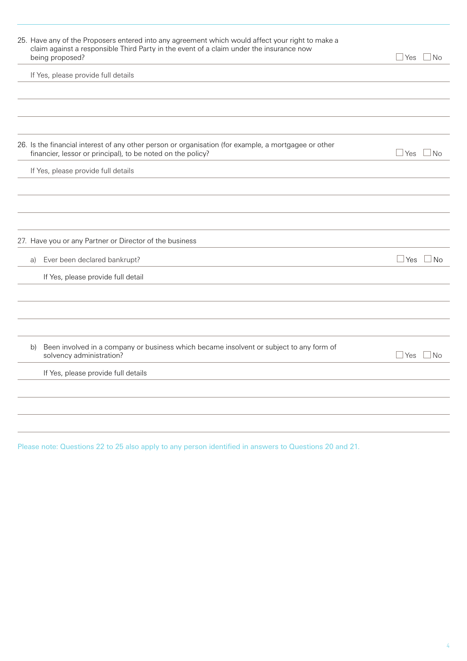| 25. Have any of the Proposers entered into any agreement which would affect your right to make a<br>claim against a responsible Third Party in the event of a claim under the insurance now<br>being proposed? | $\exists$ Yes<br>$\Box$ No        |
|----------------------------------------------------------------------------------------------------------------------------------------------------------------------------------------------------------------|-----------------------------------|
| If Yes, please provide full details                                                                                                                                                                            |                                   |
|                                                                                                                                                                                                                |                                   |
|                                                                                                                                                                                                                |                                   |
|                                                                                                                                                                                                                |                                   |
| 26. Is the financial interest of any other person or organisation (for example, a mortgagee or other<br>financier, lessor or principal), to be noted on the policy?                                            | $\Box$ Yes<br>$\vert$ No          |
| If Yes, please provide full details                                                                                                                                                                            |                                   |
|                                                                                                                                                                                                                |                                   |
|                                                                                                                                                                                                                |                                   |
|                                                                                                                                                                                                                |                                   |
| 27. Have you or any Partner or Director of the business                                                                                                                                                        |                                   |
| Ever been declared bankrupt?<br>a)                                                                                                                                                                             | $\sqcup$ Yes<br>$\blacksquare$ No |
| If Yes, please provide full detail                                                                                                                                                                             |                                   |
|                                                                                                                                                                                                                |                                   |
|                                                                                                                                                                                                                |                                   |
|                                                                                                                                                                                                                |                                   |
| Been involved in a company or business which became insolvent or subject to any form of<br>b)<br>solvency administration?                                                                                      | $\Box$ No<br>$\Box$ Yes           |
| If Yes, please provide full details                                                                                                                                                                            |                                   |
|                                                                                                                                                                                                                |                                   |
|                                                                                                                                                                                                                |                                   |
|                                                                                                                                                                                                                |                                   |
|                                                                                                                                                                                                                |                                   |

Please note: Questions 22 to 25 also apply to any person identified in answers to Questions 20 and 21.